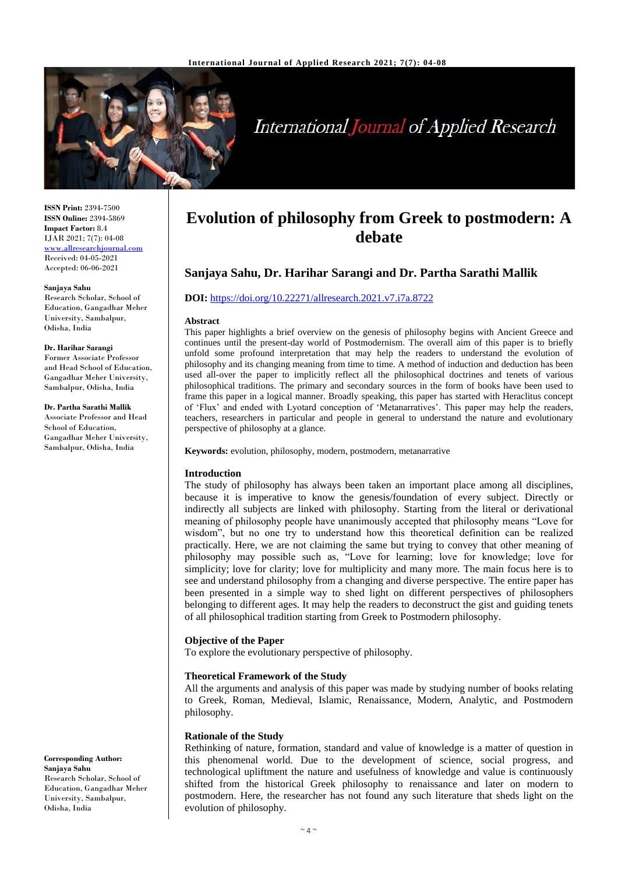

# **International Journal of Applied Research**

**ISSN Print:** 2394-7500 **ISSN Online:** 2394-5869 **Impact Factor:** 8.4 IJAR 2021; 7(7): 04-08 <www.allresearchjournal.com> Received: 04-05-2021 Accepted: 06-06-2021

#### **Sanjaya Sahu**

Research Scholar, School of Education, Gangadhar Meher University, Sambalpur, Odisha, India

#### **Dr. Harihar Sarangi**

Former Associate Professor and Head School of Education, Gangadhar Meher University, Sambalpur, Odisha, India

**Dr. Partha Sarathi Mallik**

Associate Professor and Head School of Education, Gangadhar Meher University, Sambalpur, Odisha, India

**Corresponding Author: Sanjaya Sahu** Research Scholar, School of Education, Gangadhar Meher University, Sambalpur, Odisha, India

# **Evolution of philosophy from Greek to postmodern: A debate**

# **Sanjaya Sahu, Dr. Harihar Sarangi and Dr. Partha Sarathi Mallik**

# **DOI:** <https://doi.org/10.22271/allresearch.2021.v7.i7a.8722>

#### **Abstract**

This paper highlights a brief overview on the genesis of philosophy begins with Ancient Greece and continues until the present-day world of Postmodernism. The overall aim of this paper is to briefly unfold some profound interpretation that may help the readers to understand the evolution of philosophy and its changing meaning from time to time. A method of induction and deduction has been used all-over the paper to implicitly reflect all the philosophical doctrines and tenets of various philosophical traditions. The primary and secondary sources in the form of books have been used to frame this paper in a logical manner. Broadly speaking, this paper has started with Heraclitus concept of 'Flux' and ended with Lyotard conception of 'Metanarratives'. This paper may help the readers, teachers, researchers in particular and people in general to understand the nature and evolutionary perspective of philosophy at a glance.

**Keywords:** evolution, philosophy, modern, postmodern, metanarrative

# **Introduction**

The study of philosophy has always been taken an important place among all disciplines, because it is imperative to know the genesis/foundation of every subject. Directly or indirectly all subjects are linked with philosophy. Starting from the literal or derivational meaning of philosophy people have unanimously accepted that philosophy means "Love for wisdom", but no one try to understand how this theoretical definition can be realized practically. Here, we are not claiming the same but trying to convey that other meaning of philosophy may possible such as, "Love for learning; love for knowledge; love for simplicity; love for clarity; love for multiplicity and many more. The main focus here is to see and understand philosophy from a changing and diverse perspective. The entire paper has been presented in a simple way to shed light on different perspectives of philosophers belonging to different ages. It may help the readers to deconstruct the gist and guiding tenets of all philosophical tradition starting from Greek to Postmodern philosophy.

# **Objective of the Paper**

To explore the evolutionary perspective of philosophy.

# **Theoretical Framework of the Study**

All the arguments and analysis of this paper was made by studying number of books relating to Greek, Roman, Medieval, Islamic, Renaissance, Modern, Analytic, and Postmodern philosophy.

# **Rationale of the Study**

Rethinking of nature, formation, standard and value of knowledge is a matter of question in this phenomenal world. Due to the development of science, social progress, and technological upliftment the nature and usefulness of knowledge and value is continuously shifted from the historical Greek philosophy to renaissance and later on modern to postmodern. Here, the researcher has not found any such literature that sheds light on the evolution of philosophy.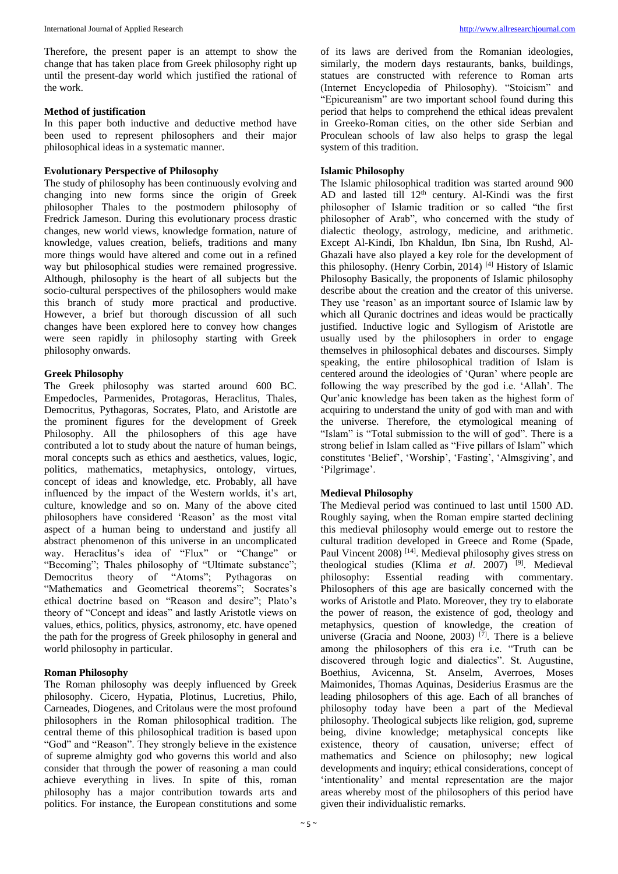Therefore, the present paper is an attempt to show the change that has taken place from Greek philosophy right up until the present-day world which justified the rational of the work.

#### **Method of justification**

In this paper both inductive and deductive method have been used to represent philosophers and their major philosophical ideas in a systematic manner.

#### **Evolutionary Perspective of Philosophy**

The study of philosophy has been continuously evolving and changing into new forms since the origin of Greek philosopher Thales to the postmodern philosophy of Fredrick Jameson. During this evolutionary process drastic changes, new world views, knowledge formation, nature of knowledge, values creation, beliefs, traditions and many more things would have altered and come out in a refined way but philosophical studies were remained progressive. Although, philosophy is the heart of all subjects but the socio-cultural perspectives of the philosophers would make this branch of study more practical and productive. However, a brief but thorough discussion of all such changes have been explored here to convey how changes were seen rapidly in philosophy starting with Greek philosophy onwards.

#### **Greek Philosophy**

The Greek philosophy was started around 600 BC. Empedocles, Parmenides, Protagoras, Heraclitus, Thales, Democritus, Pythagoras, Socrates, Plato, and Aristotle are the prominent figures for the development of Greek Philosophy. All the philosophers of this age have contributed a lot to study about the nature of human beings, moral concepts such as ethics and aesthetics, values, logic, politics, mathematics, metaphysics, ontology, virtues, concept of ideas and knowledge, etc. Probably, all have influenced by the impact of the Western worlds, it's art, culture, knowledge and so on. Many of the above cited philosophers have considered 'Reason' as the most vital aspect of a human being to understand and justify all abstract phenomenon of this universe in an uncomplicated way. Heraclitus's idea of "Flux" or "Change" or "Becoming"; Thales philosophy of "Ultimate substance"; Democritus theory of "Atoms"; Pythagoras on "Mathematics and Geometrical theorems"; Socrates's ethical doctrine based on "Reason and desire"; Plato's theory of "Concept and ideas" and lastly Aristotle views on values, ethics, politics, physics, astronomy, etc. have opened the path for the progress of Greek philosophy in general and world philosophy in particular.

#### **Roman Philosophy**

The Roman philosophy was deeply influenced by Greek philosophy. Cicero, Hypatia, Plotinus, Lucretius, Philo, Carneades, Diogenes, and Critolaus were the most profound philosophers in the Roman philosophical tradition. The central theme of this philosophical tradition is based upon "God" and "Reason". They strongly believe in the existence of supreme almighty god who governs this world and also consider that through the power of reasoning a man could achieve everything in lives. In spite of this, roman philosophy has a major contribution towards arts and politics. For instance, the European constitutions and some

of its laws are derived from the Romanian ideologies, similarly, the modern days restaurants, banks, buildings, statues are constructed with reference to Roman arts (Internet Encyclopedia of Philosophy). "Stoicism" and "Epicureanism" are two important school found during this period that helps to comprehend the ethical ideas prevalent in Greeko-Roman cities, on the other side Serbian and Proculean schools of law also helps to grasp the legal system of this tradition.

#### **Islamic Philosophy**

The Islamic philosophical tradition was started around 900 AD and lasted till  $12<sup>th</sup>$  century. Al-Kindi was the first philosopher of Islamic tradition or so called "the first philosopher of Arab", who concerned with the study of dialectic theology, astrology, medicine, and arithmetic. Except Al-Kindi, Ibn Khaldun, Ibn Sina, Ibn Rushd, Al-Ghazali have also played a key role for the development of this philosophy. (Henry Corbin, 2014) [4] History of Islamic Philosophy Basically, the proponents of Islamic philosophy describe about the creation and the creator of this universe. They use 'reason' as an important source of Islamic law by which all Ouranic doctrines and ideas would be practically justified. Inductive logic and Syllogism of Aristotle are usually used by the philosophers in order to engage themselves in philosophical debates and discourses. Simply speaking, the entire philosophical tradition of Islam is centered around the ideologies of 'Quran' where people are following the way prescribed by the god i.e. 'Allah'. The Qur'anic knowledge has been taken as the highest form of acquiring to understand the unity of god with man and with the universe. Therefore, the etymological meaning of "Islam" is "Total submission to the will of god". There is a strong belief in Islam called as "Five pillars of Islam" which constitutes 'Belief', 'Worship', 'Fasting', 'Almsgiving', and 'Pilgrimage'.

# **Medieval Philosophy**

The Medieval period was continued to last until 1500 AD. Roughly saying, when the Roman empire started declining this medieval philosophy would emerge out to restore the cultural tradition developed in Greece and Rome (Spade, Paul Vincent 2008) <sup>[14]</sup>. Medieval philosophy gives stress on theological studies (Klima *et al.* 2007) <sup>[9]</sup>. Medieval philosophy: Essential reading with commentary. philosophy: Essential reading with commentary. Philosophers of this age are basically concerned with the works of Aristotle and Plato. Moreover, they try to elaborate the power of reason, the existence of god, theology and metaphysics, question of knowledge, the creation of universe (Gracia and Noone, 2003) [7]. There is a believe among the philosophers of this era i.e. "Truth can be discovered through logic and dialectics". St. Augustine, Boethius, Avicenna, St. Anselm, Averroes, Moses Maimonides, Thomas Aquinas, Desiderius Erasmus are the leading philosophers of this age. Each of all branches of philosophy today have been a part of the Medieval philosophy. Theological subjects like religion, god, supreme being, divine knowledge; metaphysical concepts like existence, theory of causation, universe; effect of mathematics and Science on philosophy; new logical developments and inquiry; ethical considerations, concept of 'intentionality' and mental representation are the major areas whereby most of the philosophers of this period have given their individualistic remarks.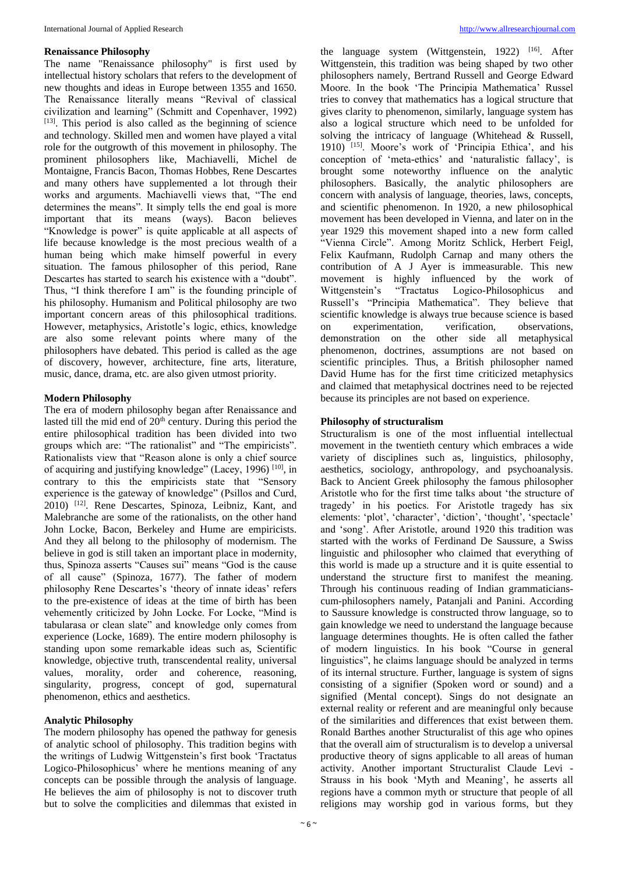#### **Renaissance Philosophy**

The name "Renaissance philosophy" is first used by intellectual history scholars that refers to the development of new thoughts and ideas in Europe between 1355 and 1650. The Renaissance literally means "Revival of classical civilization and learning" (Schmitt and Copenhaver, 1992) [13]. This period is also called as the beginning of science and technology. Skilled men and women have played a vital role for the outgrowth of this movement in philosophy. The prominent philosophers like, Machiavelli, Michel de Montaigne, Francis Bacon, Thomas Hobbes, Rene Descartes and many others have supplemented a lot through their works and arguments. Machiavelli views that, "The end determines the means". It simply tells the end goal is more important that its means (ways). Bacon believes "Knowledge is power" is quite applicable at all aspects of life because knowledge is the most precious wealth of a human being which make himself powerful in every situation. The famous philosopher of this period, Rane Descartes has started to search his existence with a "doubt". Thus, "I think therefore I am" is the founding principle of his philosophy. Humanism and Political philosophy are two important concern areas of this philosophical traditions. However, metaphysics, Aristotle's logic, ethics, knowledge are also some relevant points where many of the philosophers have debated. This period is called as the age of discovery, however, architecture, fine arts, literature, music, dance, drama, etc. are also given utmost priority.

#### **Modern Philosophy**

The era of modern philosophy began after Renaissance and lasted till the mid end of  $20<sup>th</sup>$  century. During this period the entire philosophical tradition has been divided into two groups which are: "The rationalist" and "The empiricists". Rationalists view that "Reason alone is only a chief source of acquiring and justifying knowledge" (Lacey, 1996) [10], in contrary to this the empiricists state that "Sensory experience is the gateway of knowledge" (Psillos and Curd, 2010) [12]. Rene Descartes, Spinoza, Leibniz, Kant, and Malebranche are some of the rationalists, on the other hand John Locke, Bacon, Berkeley and Hume are empiricists. And they all belong to the philosophy of modernism. The believe in god is still taken an important place in modernity, thus, Spinoza asserts "Causes sui" means "God is the cause of all cause" (Spinoza, 1677). The father of modern philosophy Rene Descartes's 'theory of innate ideas' refers to the pre-existence of ideas at the time of birth has been vehemently criticized by John Locke. For Locke, "Mind is tabularasa or clean slate" and knowledge only comes from experience (Locke, 1689). The entire modern philosophy is standing upon some remarkable ideas such as, Scientific knowledge, objective truth, transcendental reality, universal values, morality, order and coherence, reasoning, singularity, progress, concept of god, supernatural phenomenon, ethics and aesthetics.

#### **Analytic Philosophy**

The modern philosophy has opened the pathway for genesis of analytic school of philosophy. This tradition begins with the writings of Ludwig Wittgenstein's first book 'Tractatus Logico-Philosophicus' where he mentions meaning of any concepts can be possible through the analysis of language. He believes the aim of philosophy is not to discover truth but to solve the complicities and dilemmas that existed in

the language system (Wittgenstein, 1922)  $[16]$ . After Wittgenstein, this tradition was being shaped by two other philosophers namely, Bertrand Russell and George Edward Moore. In the book 'The Principia Mathematica' Russel tries to convey that mathematics has a logical structure that gives clarity to phenomenon, similarly, language system has also a logical structure which need to be unfolded for solving the intricacy of language (Whitehead & Russell, 1910) [15]. Moore's work of 'Principia Ethica', and his conception of 'meta-ethics' and 'naturalistic fallacy', is brought some noteworthy influence on the analytic philosophers. Basically, the analytic philosophers are concern with analysis of language, theories, laws, concepts, and scientific phenomenon. In 1920, a new philosophical movement has been developed in Vienna, and later on in the year 1929 this movement shaped into a new form called "Vienna Circle". Among Moritz Schlick, Herbert Feigl, Felix Kaufmann, Rudolph Carnap and many others the contribution of A J Ayer is immeasurable. This new movement is highly influenced by the work of Wittgenstein's "Tractatus Logico-Philosophicus and Russell's "Principia Mathematica". They believe that scientific knowledge is always true because science is based on experimentation, verification, observations, demonstration on the other side all metaphysical phenomenon, doctrines, assumptions are not based on scientific principles. Thus, a British philosopher named David Hume has for the first time criticized metaphysics and claimed that metaphysical doctrines need to be rejected because its principles are not based on experience.

#### **Philosophy of structuralism**

Structuralism is one of the most influential intellectual movement in the twentieth century which embraces a wide variety of disciplines such as, linguistics, philosophy, aesthetics, sociology, anthropology, and psychoanalysis. Back to Ancient Greek philosophy the famous philosopher Aristotle who for the first time talks about 'the structure of tragedy' in his poetics. For Aristotle tragedy has six elements: 'plot', 'character', 'diction', 'thought', 'spectacle' and 'song'. After Aristotle, around 1920 this tradition was started with the works of Ferdinand De Saussure, a Swiss linguistic and philosopher who claimed that everything of this world is made up a structure and it is quite essential to understand the structure first to manifest the meaning. Through his continuous reading of Indian grammaticianscum-philosophers namely, Patanjali and Panini. According to Saussure knowledge is constructed throw language, so to gain knowledge we need to understand the language because language determines thoughts. He is often called the father of modern linguistics. In his book "Course in general linguistics", he claims language should be analyzed in terms of its internal structure. Further, language is system of signs consisting of a signifier (Spoken word or sound) and a signified (Mental concept). Sings do not designate an external reality or referent and are meaningful only because of the similarities and differences that exist between them. Ronald Barthes another Structuralist of this age who opines that the overall aim of structuralism is to develop a universal productive theory of signs applicable to all areas of human activity. Another important Structuralist Claude Levi - Strauss in his book 'Myth and Meaning', he asserts all regions have a common myth or structure that people of all religions may worship god in various forms, but they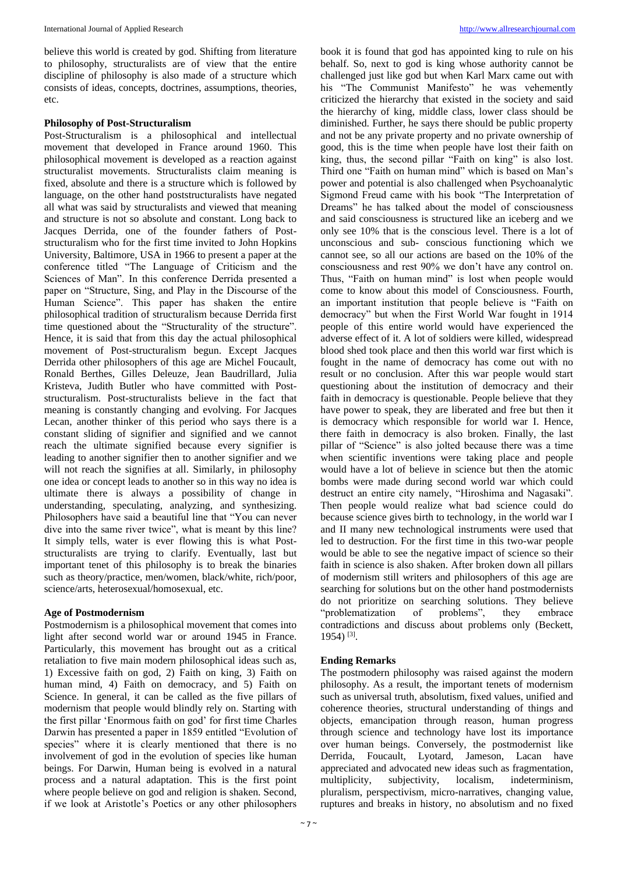believe this world is created by god. Shifting from literature to philosophy, structuralists are of view that the entire discipline of philosophy is also made of a structure which consists of ideas, concepts, doctrines, assumptions, theories, etc.

# **Philosophy of Post-Structuralism**

Post-Structuralism is a philosophical and intellectual movement that developed in France around 1960. This philosophical movement is developed as a reaction against structuralist movements. Structuralists claim meaning is fixed, absolute and there is a structure which is followed by language, on the other hand poststructuralists have negated all what was said by structuralists and viewed that meaning and structure is not so absolute and constant. Long back to Jacques Derrida, one of the founder fathers of Poststructuralism who for the first time invited to John Hopkins University, Baltimore, USA in 1966 to present a paper at the conference titled "The Language of Criticism and the Sciences of Man". In this conference Derrida presented a paper on "Structure, Sing, and Play in the Discourse of the Human Science". This paper has shaken the entire philosophical tradition of structuralism because Derrida first time questioned about the "Structurality of the structure". Hence, it is said that from this day the actual philosophical movement of Post-structuralism begun. Except Jacques Derrida other philosophers of this age are Michel Foucault, Ronald Berthes, Gilles Deleuze, Jean Baudrillard, Julia Kristeva, Judith Butler who have committed with Poststructuralism. Post-structuralists believe in the fact that meaning is constantly changing and evolving. For Jacques Lecan, another thinker of this period who says there is a constant sliding of signifier and signified and we cannot reach the ultimate signified because every signifier is leading to another signifier then to another signifier and we will not reach the signifies at all. Similarly, in philosophy one idea or concept leads to another so in this way no idea is ultimate there is always a possibility of change in understanding, speculating, analyzing, and synthesizing. Philosophers have said a beautiful line that "You can never dive into the same river twice", what is meant by this line? It simply tells, water is ever flowing this is what Poststructuralists are trying to clarify. Eventually, last but important tenet of this philosophy is to break the binaries such as theory/practice, men/women, black/white, rich/poor, science/arts, heterosexual/homosexual, etc.

# **Age of Postmodernism**

Postmodernism is a philosophical movement that comes into light after second world war or around 1945 in France. Particularly, this movement has brought out as a critical retaliation to five main modern philosophical ideas such as, 1) Excessive faith on god, 2) Faith on king, 3) Faith on human mind, 4) Faith on democracy, and 5) Faith on Science. In general, it can be called as the five pillars of modernism that people would blindly rely on. Starting with the first pillar 'Enormous faith on god' for first time Charles Darwin has presented a paper in 1859 entitled "Evolution of species" where it is clearly mentioned that there is no involvement of god in the evolution of species like human beings. For Darwin, Human being is evolved in a natural process and a natural adaptation. This is the first point where people believe on god and religion is shaken. Second, if we look at Aristotle's Poetics or any other philosophers

book it is found that god has appointed king to rule on his behalf. So, next to god is king whose authority cannot be challenged just like god but when Karl Marx came out with his "The Communist Manifesto" he was vehemently criticized the hierarchy that existed in the society and said the hierarchy of king, middle class, lower class should be diminished. Further, he says there should be public property and not be any private property and no private ownership of good, this is the time when people have lost their faith on king, thus, the second pillar "Faith on king" is also lost. Third one "Faith on human mind" which is based on Man's power and potential is also challenged when Psychoanalytic Sigmond Freud came with his book "The Interpretation of Dreams" he has talked about the model of consciousness and said consciousness is structured like an iceberg and we only see 10% that is the conscious level. There is a lot of unconscious and sub- conscious functioning which we cannot see, so all our actions are based on the 10% of the consciousness and rest 90% we don't have any control on. Thus, "Faith on human mind" is lost when people would come to know about this model of Consciousness. Fourth, an important institution that people believe is "Faith on democracy" but when the First World War fought in 1914 people of this entire world would have experienced the adverse effect of it. A lot of soldiers were killed, widespread blood shed took place and then this world war first which is fought in the name of democracy has come out with no result or no conclusion. After this war people would start questioning about the institution of democracy and their faith in democracy is questionable. People believe that they have power to speak, they are liberated and free but then it is democracy which responsible for world war I. Hence, there faith in democracy is also broken. Finally, the last pillar of "Science" is also jolted because there was a time when scientific inventions were taking place and people would have a lot of believe in science but then the atomic bombs were made during second world war which could destruct an entire city namely, "Hiroshima and Nagasaki". Then people would realize what bad science could do because science gives birth to technology, in the world war I and II many new technological instruments were used that led to destruction. For the first time in this two-war people would be able to see the negative impact of science so their faith in science is also shaken. After broken down all pillars of modernism still writers and philosophers of this age are searching for solutions but on the other hand postmodernists do not prioritize on searching solutions. They believe "problematization of problems", they embrace contradictions and discuss about problems only (Beckett, 1954) [3] .

# **Ending Remarks**

The postmodern philosophy was raised against the modern philosophy. As a result, the important tenets of modernism such as universal truth, absolutism, fixed values, unified and coherence theories, structural understanding of things and objects, emancipation through reason, human progress through science and technology have lost its importance over human beings. Conversely, the postmodernist like Derrida, Foucault, Lyotard, Jameson, Lacan have appreciated and advocated new ideas such as fragmentation, multiplicity, subjectivity, localism, indeterminism, pluralism, perspectivism, micro-narratives, changing value, ruptures and breaks in history, no absolutism and no fixed